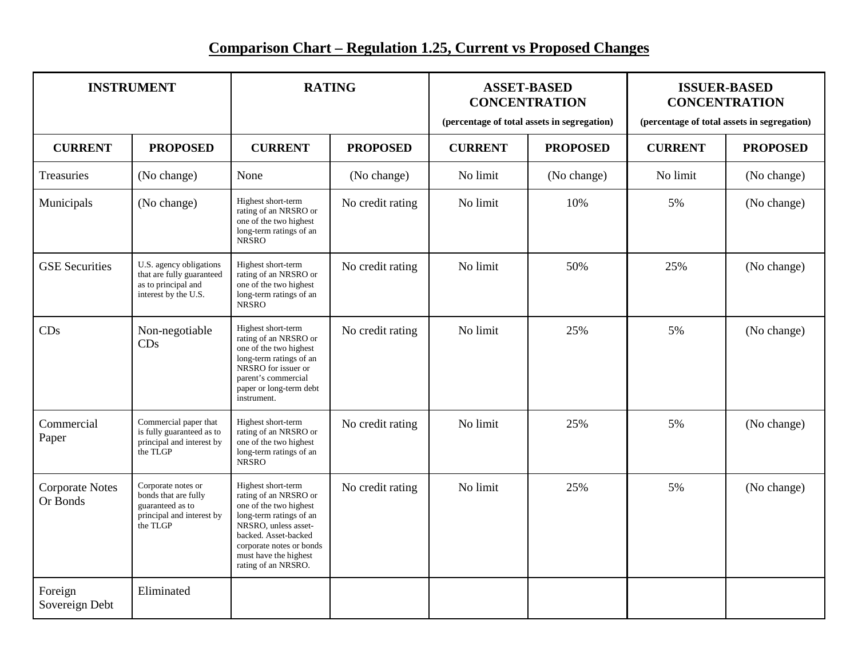## **Comparison Chart – Regulation 1.25, Current vs Proposed Changes**

| <b>INSTRUMENT</b>                  |                                                                                                         | <b>RATING</b>                                                                                                                                                                                                                |                  | <b>ASSET-BASED</b><br><b>CONCENTRATION</b><br>(percentage of total assets in segregation) |                 | <b>ISSUER-BASED</b><br><b>CONCENTRATION</b><br>(percentage of total assets in segregation) |                 |
|------------------------------------|---------------------------------------------------------------------------------------------------------|------------------------------------------------------------------------------------------------------------------------------------------------------------------------------------------------------------------------------|------------------|-------------------------------------------------------------------------------------------|-----------------|--------------------------------------------------------------------------------------------|-----------------|
| <b>CURRENT</b>                     | <b>PROPOSED</b>                                                                                         | <b>CURRENT</b>                                                                                                                                                                                                               | <b>PROPOSED</b>  | <b>CURRENT</b>                                                                            | <b>PROPOSED</b> | <b>CURRENT</b>                                                                             | <b>PROPOSED</b> |
| Treasuries                         | (No change)                                                                                             | None                                                                                                                                                                                                                         | (No change)      | No limit                                                                                  | (No change)     | No limit                                                                                   | (No change)     |
| Municipals                         | (No change)                                                                                             | Highest short-term<br>rating of an NRSRO or<br>one of the two highest<br>long-term ratings of an<br><b>NRSRO</b>                                                                                                             | No credit rating | No limit                                                                                  | 10%             | 5%                                                                                         | (No change)     |
| <b>GSE</b> Securities              | U.S. agency obligations<br>that are fully guaranteed<br>as to principal and<br>interest by the U.S.     | Highest short-term<br>rating of an NRSRO or<br>one of the two highest<br>long-term ratings of an<br><b>NRSRO</b>                                                                                                             | No credit rating | No limit                                                                                  | 50%             | 25%                                                                                        | (No change)     |
| CDs                                | Non-negotiable<br>CDs                                                                                   | Highest short-term<br>rating of an NRSRO or<br>one of the two highest<br>long-term ratings of an<br>NRSRO for issuer or<br>parent's commercial<br>paper or long-term debt<br>instrument.                                     | No credit rating | No limit                                                                                  | 25%             | 5%                                                                                         | (No change)     |
| Commercial<br>Paper                | Commercial paper that<br>is fully guaranteed as to<br>principal and interest by<br>the TLGP             | Highest short-term<br>rating of an NRSRO or<br>one of the two highest<br>long-term ratings of an<br><b>NRSRO</b>                                                                                                             | No credit rating | No limit                                                                                  | 25%             | 5%                                                                                         | (No change)     |
| <b>Corporate Notes</b><br>Or Bonds | Corporate notes or<br>bonds that are fully<br>guaranteed as to<br>principal and interest by<br>the TLGP | Highest short-term<br>rating of an NRSRO or<br>one of the two highest<br>long-term ratings of an<br>NRSRO, unless asset-<br>backed. Asset-backed<br>corporate notes or bonds<br>must have the highest<br>rating of an NRSRO. | No credit rating | No limit                                                                                  | 25%             | 5%                                                                                         | (No change)     |
| Foreign<br>Sovereign Debt          | Eliminated                                                                                              |                                                                                                                                                                                                                              |                  |                                                                                           |                 |                                                                                            |                 |